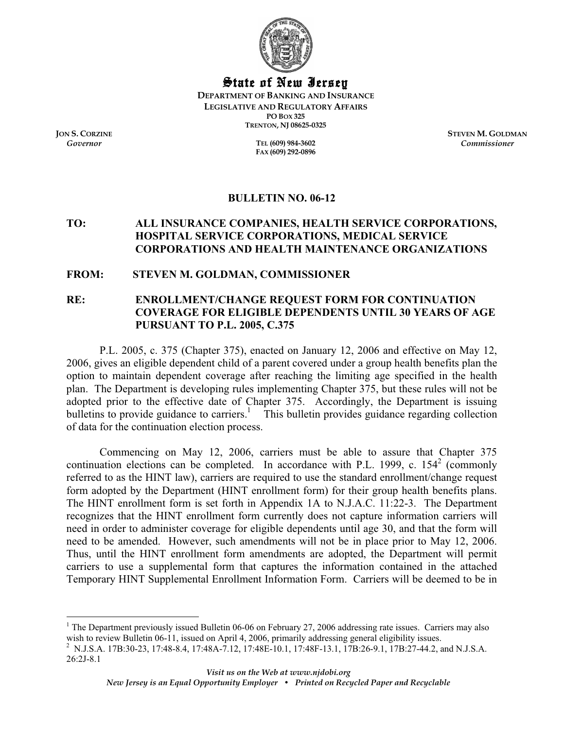

State of New Jersey

**DEPARTMENT OF BANKING AND INSURANCE LEGISLATIVE AND REGULATORY AFFAIRS PO BOX 325 TRENTON, NJ 08625-0325** 

*Governor* **TEL (609) 984-3602 FAX (609) 292-0896** 

**JON S. CORZINE STEVEN M. GOLDMAN** *Commissioner*

## **BULLETIN NO. 06-12**

## **TO: ALL INSURANCE COMPANIES, HEALTH SERVICE CORPORATIONS, HOSPITAL SERVICE CORPORATIONS, MEDICAL SERVICE CORPORATIONS AND HEALTH MAINTENANCE ORGANIZATIONS**

#### **FROM: STEVEN M. GOLDMAN, COMMISSIONER**

# **RE: ENROLLMENT/CHANGE REQUEST FORM FOR CONTINUATION COVERAGE FOR ELIGIBLE DEPENDENTS UNTIL 30 YEARS OF AGE PURSUANT TO P.L. 2005, C.375**

 P.L. 2005, c. 375 (Chapter 375), enacted on January 12, 2006 and effective on May 12, 2006, gives an eligible dependent child of a parent covered under a group health benefits plan the option to maintain dependent coverage after reaching the limiting age specified in the health plan. The Department is developing rules implementing Chapter 375, but these rules will not be adopted prior to the effective date of Chapter 375. Accordingly, the Department is issuing bulletins to provide guidance to carriers.<sup>1</sup> This bulletin provides guidance regarding collection of data for the continuation election process.

Commencing on May 12, 2006, carriers must be able to assure that Chapter 375 continuation elections can be completed. In accordance with P.L. 1999, c.  $154^2$  (commonly referred to as the HINT law), carriers are required to use the standard enrollment/change request form adopted by the Department (HINT enrollment form) for their group health benefits plans. The HINT enrollment form is set forth in Appendix 1A to N.J.A.C. 11:22-3. The Department recognizes that the HINT enrollment form currently does not capture information carriers will need in order to administer coverage for eligible dependents until age 30, and that the form will need to be amended. However, such amendments will not be in place prior to May 12, 2006. Thus, until the HINT enrollment form amendments are adopted, the Department will permit carriers to use a supplemental form that captures the information contained in the attached Temporary HINT Supplemental Enrollment Information Form. Carriers will be deemed to be in

<sup>&</sup>lt;sup>1</sup> The Department previously issued Bulletin 06-06 on February 27, 2006 addressing rate issues. Carriers may also wish to review Bulletin 06-11, issued on April 4, 2006, primarily addressing general eligibility issues.

N.J.S.A. 17B:30-23, 17:48-8.4, 17:48A-7.12, 17:48E-10.1, 17:48F-13.1, 17B:26-9.1, 17B:27-44.2, and N.J.S.A. 26:2J-8.1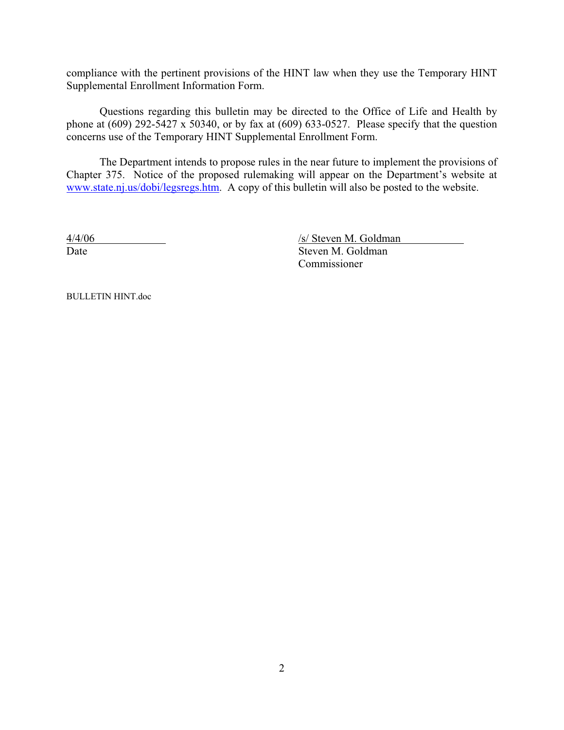compliance with the pertinent provisions of the HINT law when they use the Temporary HINT Supplemental Enrollment Information Form.

Questions regarding this bulletin may be directed to the Office of Life and Health by phone at  $(609)$  292-5427 x 50340, or by fax at  $(609)$  633-0527. Please specify that the question concerns use of the Temporary HINT Supplemental Enrollment Form.

The Department intends to propose rules in the near future to implement the provisions of Chapter 375. Notice of the proposed rulemaking will appear on the Department's website at www.state.nj.us/dobi/legsregs.htm. A copy of this bulletin will also be posted to the website.

4/4/06 /s/ Steven M. Goldman Date Steven M. Goldman Commissioner

BULLETIN HINT.doc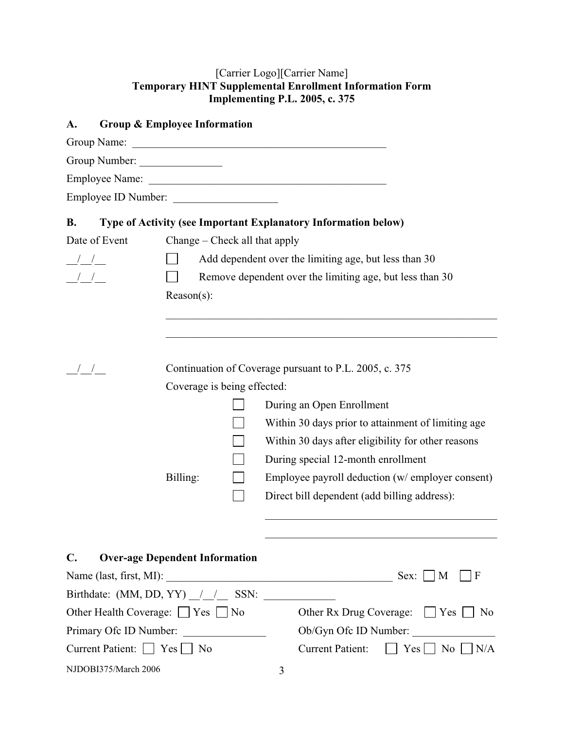## [Carrier Logo][Carrier Name] **Temporary HINT Supplemental Enrollment Information Form Implementing P.L. 2005, c. 375**

| A.                                | Group & Employee Information          |                                                          |  |                                                                |  |  |  |
|-----------------------------------|---------------------------------------|----------------------------------------------------------|--|----------------------------------------------------------------|--|--|--|
|                                   | Group Name:                           |                                                          |  | <u> 2008 - Jan Barnett, amerikansk politiker (d. 1888)</u>     |  |  |  |
|                                   | Group Number:                         |                                                          |  |                                                                |  |  |  |
|                                   |                                       |                                                          |  |                                                                |  |  |  |
|                                   | Employee ID Number:                   |                                                          |  |                                                                |  |  |  |
| <b>B.</b>                         |                                       |                                                          |  | Type of Activity (see Important Explanatory Information below) |  |  |  |
| Date of Event                     |                                       | Change – Check all that apply                            |  |                                                                |  |  |  |
| $\frac{\frac{1}{2}}{\frac{1}{2}}$ |                                       | Add dependent over the limiting age, but less than 30    |  |                                                                |  |  |  |
| $\frac{1}{2}$                     |                                       | Remove dependent over the limiting age, but less than 30 |  |                                                                |  |  |  |
|                                   |                                       | $Reason(s)$ :                                            |  |                                                                |  |  |  |
|                                   |                                       |                                                          |  |                                                                |  |  |  |
|                                   |                                       |                                                          |  |                                                                |  |  |  |
|                                   |                                       |                                                          |  |                                                                |  |  |  |
|                                   |                                       |                                                          |  | Continuation of Coverage pursuant to P.L. 2005, c. 375         |  |  |  |
|                                   |                                       | Coverage is being effected:                              |  |                                                                |  |  |  |
|                                   |                                       |                                                          |  | During an Open Enrollment                                      |  |  |  |
|                                   |                                       |                                                          |  | Within 30 days prior to attainment of limiting age             |  |  |  |
|                                   |                                       |                                                          |  | Within 30 days after eligibility for other reasons             |  |  |  |
|                                   |                                       |                                                          |  | During special 12-month enrollment                             |  |  |  |
|                                   |                                       | Billing:                                                 |  | Employee payroll deduction (w/ employer consent)               |  |  |  |
|                                   |                                       |                                                          |  | Direct bill dependent (add billing address):                   |  |  |  |
|                                   |                                       |                                                          |  |                                                                |  |  |  |
|                                   |                                       |                                                          |  |                                                                |  |  |  |
| $\mathbf{C}$ .                    | <b>Over-age Dependent Information</b> |                                                          |  |                                                                |  |  |  |
|                                   |                                       |                                                          |  | F                                                              |  |  |  |
|                                   |                                       |                                                          |  | Birthdate: $(MM, DD, YY)$ $/$ $/$ $/$ SSN:                     |  |  |  |
| Other Health Coverage: □ Yes □ No |                                       |                                                          |  | Other Rx Drug Coverage: $\Box$ Yes $\Box$ No                   |  |  |  |
| Primary Ofc ID Number:            |                                       |                                                          |  | Ob/Gyn Ofc ID Number:                                          |  |  |  |
| Current Patient: □ Yes □ No       |                                       |                                                          |  | Current Patient: $\Box$ Yes $\Box$ No $\Box$ N/A               |  |  |  |
| NJDOBI375/March 2006              |                                       |                                                          |  | 3                                                              |  |  |  |